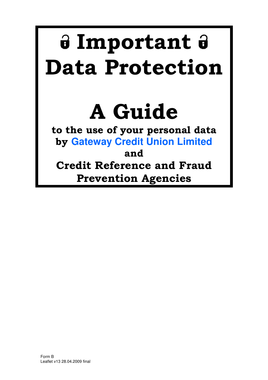# **Important Data Protection**

# **A Guide**

**to the use of your personal data by Gateway Credit Union Limited and** 

**Credit Reference and Fraud Prevention Agencies**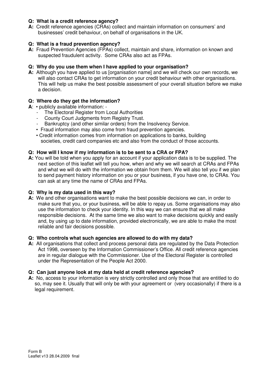#### **Q: What is a credit reference agency?**

**A:** Credit reference agencies (CRAs) collect and maintain information on consumers' and businesses' credit behaviour, on behalf of organisations in the UK.

#### **Q: What is a fraud prevention agency?**

**A:** Fraud Prevention Agencies (FPAs) collect, maintain and share, information on known and suspected fraudulent activity. Some CRAs also act as FPAs.

#### **Q: Why do you use them when I have applied to your organisation?**

**A:** Although you have applied to us [organisation name] and we will check our own records, we will also contact CRAs to get information on your credit behaviour with other organisations. This will help us make the best possible assessment of your overall situation before we make a decision.

#### **Q: Where do they get the information?**

- **A**: publicly available information:
	- The Electoral Register from Local Authorities
	- County Court Judgments from Registry Trust.
	- Bankruptcy (and other similar orders) from the Insolvency Service.
	- Fraud information may also come from fraud prevention agencies.
	- Credit information comes from information on applications to banks, building societies, credit card companies etc and also from the conduct of those accounts.

#### **Q: How will I know if my information is to be sent to a CRA or FPA?**

**A:** You will be told when you apply for an account if your application data is to be supplied. The next section of this leaflet will tell you how, when and why we will search at CRAs and FPAs and what we will do with the information we obtain from them. We will also tell you if we plan to send payment history information on you or your business, if you have one, to CRAs. You can ask at any time the name of CRAs and FPAs.

#### **Q: Why is my data used in this way?**

**A:** We and other organisations want to make the best possible decisions we can, in order to make sure that you, or your business, will be able to repay us. Some organisations may also use the information to check your identity. In this way we can ensure that we all make responsible decisions. At the same time we also want to make decisions quickly and easily and, by using up to date information, provided electronically, we are able to make the most reliable and fair decisions possible.

#### **Q: Who controls what such agencies are allowed to do with my data?**

**A:** All organisations that collect and process personal data are regulated by the Data Protection Act 1998, overseen by the Information Commissioner's Office. All credit reference agencies are in regular dialogue with the Commissioner. Use of the Electoral Register is controlled under the Representation of the People Act 2000.

#### **Q: Can just anyone look at my data held at credit reference agencies?**

**A:** No, access to your information is very strictly controlled and only those that are entitled to do so, may see it. Usually that will only be with your agreement or (very occasionally) if there is a legal requirement.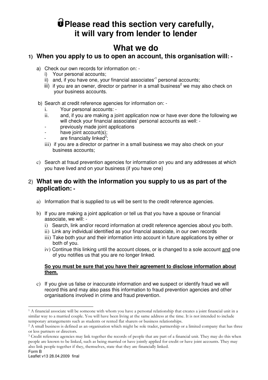# **Please read this section very carefully, it will vary from lender to lender**

# **What we do**

### **1) When you apply to us to open an account, this organisation will: -**

- a) Check our own records for information on:
	- i) Your personal accounts;
	- ii) and, if you have one, your financial associates<sup>'1</sup> personal accounts;
	- iii) if you are an owner, director or partner in a small business<sup>2</sup> we may also check on your business accounts.
- b) Search at credit reference agencies for information on:
	- i. Your personal accounts: -
	- ii. and, if you are making a joint application now or have ever done the following we will check your financial associates' personal accounts as well: -
	- previously made joint applications
	- have joint account(s);
	- are financially linked<sup>3</sup>;
	- iii) if you are a director or partner in a small business we may also check on your business accounts;
- c) Search at fraud prevention agencies for information on you and any addresses at which you have lived and on your business (if you have one)

### 2) **What we do with the information you supply to us as part of the application: -**

- a) Information that is supplied to us will be sent to the credit reference agencies.
- b) If you are making a joint application or tell us that you have a spouse or financial associate, we will:
	- i) Search, link and/or record information at credit reference agencies about you both.
	- ii) Link any individual identified as your financial associate, in our own records
	- iii) Take both your and their information into account in future applications by either or both of you.
	- iv) Continue this linking until the account closes, or is changed to a sole account and one of you notifies us that you are no longer linked.

#### **So you must be sure that you have their agreement to disclose information about them.**

c) If you give us false or inaccurate information and we suspect or identify fraud we will record this and may also pass this information to fraud prevention agencies and other organisations involved in crime and fraud prevention.

l <sup>1</sup> A financial associate will be someone with whom you have a personal relationship that creates a joint financial unit in a similar way to a married couple. You will have been living at the same address at the time. It is not intended to include temporary arrangements such as students or rented flat sharers or business relationships.

<sup>&</sup>lt;sup>2</sup> A small business is defined as an organisation which might be sole trader, partnership or a limited company that has three or less partners or directors.

Form B 3 Credit reference agencies may link together the records of people that are part of a financial unit. They may do this when people are known to be linked, such as being married or have jointly applied for credit or have joint accounts. They may also link people together if they, themselves, state that they are financially linked.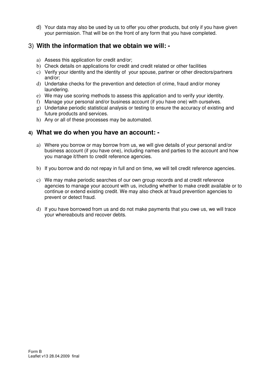d) Your data may also be used by us to offer you other products, but only if you have given your permission. That will be on the front of any form that you have completed.

# 3) **With the information that we obtain we will: -**

- a) Assess this application for credit and/or;
- b) Check details on applications for credit and credit related or other facilities
- c) Verify your identity and the identity of your spouse, partner or other directors/partners and/or;
- d) Undertake checks for the prevention and detection of crime, fraud and/or money laundering.
- e) We may use scoring methods to assess this application and to verify your identity.
- f) Manage your personal and/or business account (if you have one) with ourselves.
- g) Undertake periodic statistical analysis or testing to ensure the accuracy of existing and future products and services.
- h) Any or all of these processes may be automated.

## **4) What we do when you have an account: -**

- a) Where you borrow or may borrow from us, we will give details of your personal and/or business account (if you have one), including names and parties to the account and how you manage it/them to credit reference agencies.
- b) If you borrow and do not repay in full and on time, we will tell credit reference agencies.
- c) We may make periodic searches of our own group records and at credit reference agencies to manage your account with us, including whether to make credit available or to continue or extend existing credit. We may also check at fraud prevention agencies to prevent or detect fraud.
- d) If you have borrowed from us and do not make payments that you owe us, we will trace your whereabouts and recover debts.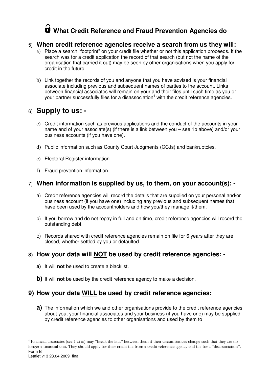# **What Credit Reference and Fraud Prevention Agencies do**

#### 5) **When credit reference agencies receive a search from us they will:**

- a) Place a search "footprint" on your credit file whether or not this application proceeds. If the search was for a credit application the record of that search (but not the name of the organisation that carried it out) may be seen by other organisations when you apply for credit in the future.
- b) Link together the records of you and anyone that you have advised is your financial associate including previous and subsequent names of parties to the account. Links between financial associates will remain on your and their files until such time as you or your partner successfully files for a disassociation<sup>4</sup> with the credit reference agencies.

# 6) **Supply to us: -**

- c) Credit information such as previous applications and the conduct of the accounts in your name and of your associate(s) (if there is a link between you – see 1b above) and/or your business accounts (if you have one).
- d) Public information such as County Court Judgments (CCJs) and bankruptcies.
- e) Electoral Register information.
- f) Fraud prevention information.

## 7) **When information is supplied by us, to them, on your account(s): -**

- a) Credit reference agencies will record the details that are supplied on your personal and/or business account (if you have one) including any previous and subsequent names that have been used by the accountholders and how you/they manage it/them.
- b) If you borrow and do not repay in full and on time, credit reference agencies will record the outstanding debt.
- c) Records shared with credit reference agencies remain on file for 6 years after they are closed, whether settled by you or defaulted.

## **8) How your data will NOT be used by credit reference agencies: -**

- **a)** It will **not** be used to create a blacklist.
- **b)** It will **not** be used by the credit reference agency to make a decision.

# **9) How your data WILL be used by credit reference agencies:**

**a)** The information which we and other organisations provide to the credit reference agencies about you, your financial associates and your business (if you have one) may be supplied by credit reference agencies to other organisations and used by them to

Form B l 4 Financial associates (see 1 a) iii) may "break the link" between them if their circumstances change such that they are no longer a financial unit. They should apply for their credit file from a credit reference agency and file for a "disassociation".